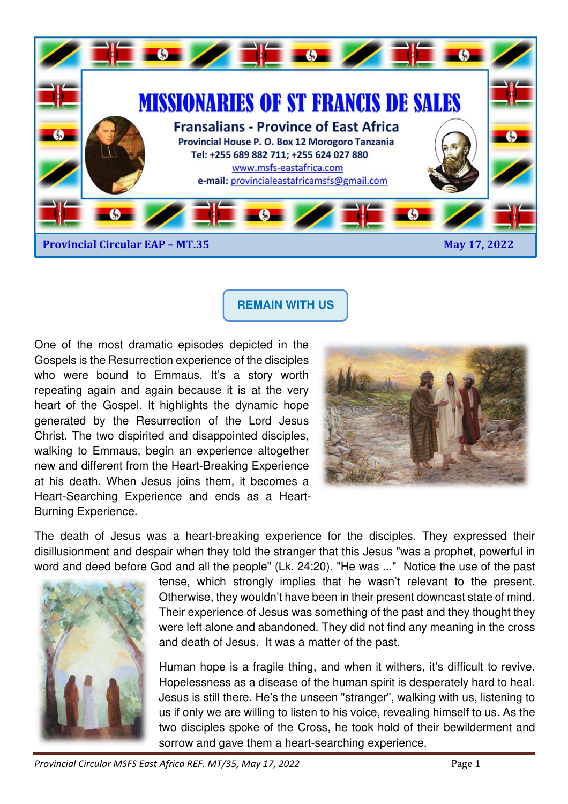

 **REMAIN WITH US** 

One of the most dramatic episodes depicted in the Gospels is the Resurrection experience of the disciples who were bound to Emmaus. It's a story worth repeating again and again because it is at the very heart of the Gospel. It highlights the dynamic hope generated by the Resurrection of the Lord Jesus Christ. The two dispirited and disappointed disciples, walking to Emmaus, begin an experience altogether new and different from the Heart-Breaking Experience at his death. When Jesus joins them, it becomes a Heart-Searching Experience and ends as a Heart-Burning Experience.



The death of Jesus was a heart-breaking experience for the disciples. They expressed their disillusionment and despair when they told the stranger that this Jesus "was a prophet, powerful in word and deed before God and all the people" (Lk. 24:20). "He was ..." Notice the use of the past



tense, which strongly implies that he wasn't relevant to the present. Otherwise, they wouldn't have been in their present downcast state of mind. Their experience of Jesus was something of the past and they thought they were left alone and abandoned. They did not find any meaning in the cross and death of Jesus. It was a matter of the past.

Human hope is a fragile thing, and when it withers, it's difficult to revive. Hopelessness as a disease of the human spirit is desperately hard to heal. Jesus is still there. He's the unseen "stranger", walking with us, listening to us if only we are willing to listen to his voice, revealing himself to us. As the two disciples spoke of the Cross, he took hold of their bewilderment and sorrow and gave them a heart-searching experience.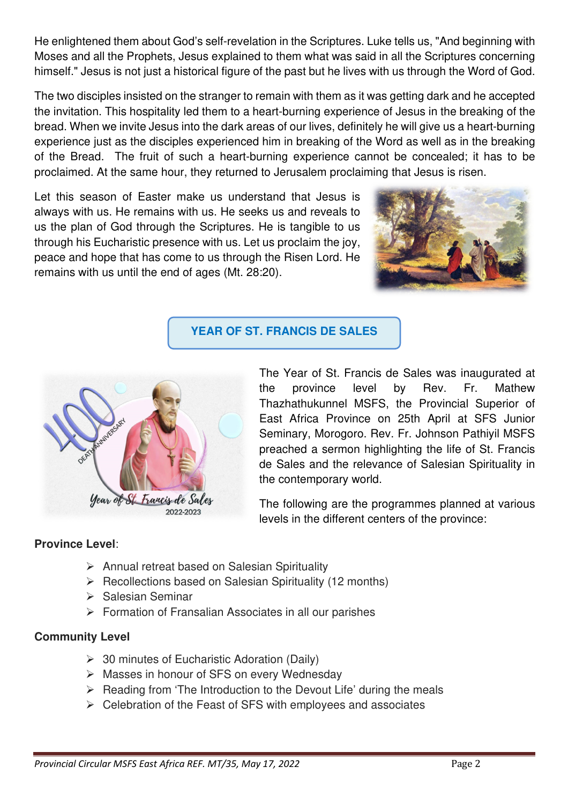He enlightened them about God's self-revelation in the Scriptures. Luke tells us, "And beginning with Moses and all the Prophets, Jesus explained to them what was said in all the Scriptures concerning himself." Jesus is not just a historical figure of the past but he lives with us through the Word of God.

The two disciples insisted on the stranger to remain with them as it was getting dark and he accepted the invitation. This hospitality led them to a heart-burning experience of Jesus in the breaking of the bread. When we invite Jesus into the dark areas of our lives, definitely he will give us a heart-burning experience just as the disciples experienced him in breaking of the Word as well as in the breaking of the Bread. The fruit of such a heart-burning experience cannot be concealed; it has to be proclaimed. At the same hour, they returned to Jerusalem proclaiming that Jesus is risen.

Let this season of Easter make us understand that Jesus is always with us. He remains with us. He seeks us and reveals to us the plan of God through the Scriptures. He is tangible to us through his Eucharistic presence with us. Let us proclaim the joy, peace and hope that has come to us through the Risen Lord. He remains with us until the end of ages (Mt. 28:20).



# **YEAR OF ST. FRANCIS DE SALES**



The Year of St. Francis de Sales was inaugurated at the province level by Rev. Fr. Mathew Thazhathukunnel MSFS, the Provincial Superior of East Africa Province on 25th April at SFS Junior Seminary, Morogoro. Rev. Fr. Johnson Pathiyil MSFS preached a sermon highlighting the life of St. Francis de Sales and the relevance of Salesian Spirituality in the contemporary world.

The following are the programmes planned at various levels in the different centers of the province:

## **Province Level**:

- $\triangleright$  Annual retreat based on Salesian Spirituality
- $\triangleright$  Recollections based on Salesian Spirituality (12 months)
- $\triangleright$  Salesian Seminar
- $\triangleright$  Formation of Fransalian Associates in all our parishes

### **Community Level**

- $\geq$  30 minutes of Eucharistic Adoration (Daily)
- $\triangleright$  Masses in honour of SFS on every Wednesday
- $\triangleright$  Reading from 'The Introduction to the Devout Life' during the meals
- $\triangleright$  Celebration of the Feast of SFS with employees and associates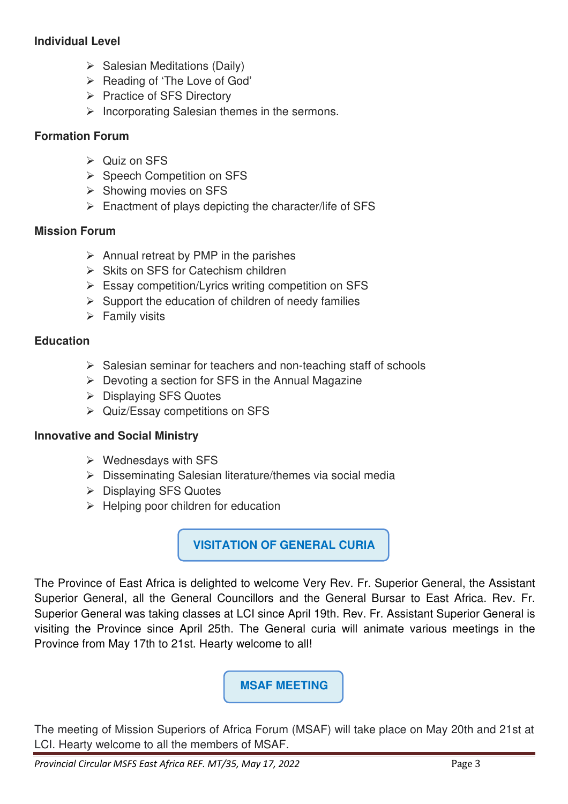### **Individual Level**

- $\triangleright$  Salesian Meditations (Daily)
- ▶ Reading of 'The Love of God'
- $\triangleright$  Practice of SFS Directory
- $\triangleright$  Incorporating Salesian themes in the sermons.

## **Formation Forum**

- $\triangleright$  Quiz on SFS
- ▶ Speech Competition on SFS
- $\triangleright$  Showing movies on SFS
- $\triangleright$  Enactment of plays depicting the character/life of SFS

### **Mission Forum**

- $\triangleright$  Annual retreat by PMP in the parishes
- $\triangleright$  Skits on SFS for Catechism children
- $\triangleright$  Essay competition/Lyrics writing competition on SFS
- $\triangleright$  Support the education of children of needy families
- $\triangleright$  Family visits

## **Education**

- $\triangleright$  Salesian seminar for teachers and non-teaching staff of schools
- $\triangleright$  Devoting a section for SFS in the Annual Magazine
- ▶ Displaying SFS Quotes
- $\triangleright$  Quiz/Essay competitions on SFS

## **Innovative and Social Ministry**

- $\triangleright$  Wednesdays with SFS
- $\triangleright$  Disseminating Salesian literature/themes via social media
- ▶ Displaying SFS Quotes
- $\triangleright$  Helping poor children for education

**VISITATION OF GENERAL CURIA** 

The Province of East Africa is delighted to welcome Very Rev. Fr. Superior General, the Assistant Superior General, all the General Councillors and the General Bursar to East Africa. Rev. Fr. Superior General was taking classes at LCI since April 19th. Rev. Fr. Assistant Superior General is visiting the Province since April 25th. The General curia will animate various meetings in the Province from May 17th to 21st. Hearty welcome to all!

# **MSAF MEETING**

The meeting of Mission Superiors of Africa Forum (MSAF) will take place on May 20th and 21st at LCI. Hearty welcome to all the members of MSAF.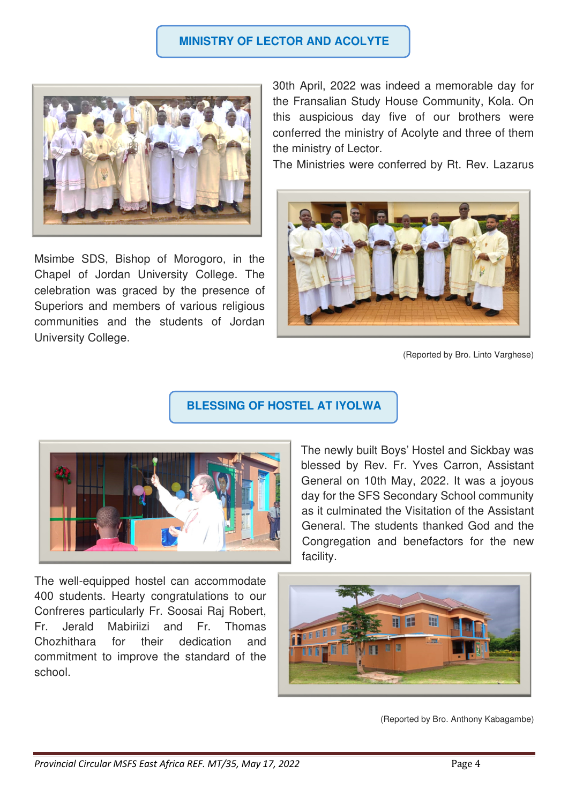### **MINISTRY OF LECTOR AND ACOLYTE**



Msimbe SDS, Bishop of Morogoro, in the Chapel of Jordan University College. The celebration was graced by the presence of Superiors and members of various religious communities and the students of Jordan University College.

30th April, 2022 was indeed a memorable day for the Fransalian Study House Community, Kola. On this auspicious day five of our brothers were conferred the ministry of Acolyte and three of them the ministry of Lector.

The Ministries were conferred by Rt. Rev. Lazarus



(Reported by Bro. Linto Varghese)

# **BLESSING OF HOSTEL AT IYOLWA**

facility.



The well-equipped hostel can accommodate 400 students. Hearty congratulations to our Confreres particularly Fr. Soosai Raj Robert, Fr. Jerald Mabiriizi and Fr. Thomas Chozhithara for their dedication and commitment to improve the standard of the school.



The newly built Boys' Hostel and Sickbay was blessed by Rev. Fr. Yves Carron, Assistant General on 10th May, 2022. It was a joyous day for the SFS Secondary School community as it culminated the Visitation of the Assistant General. The students thanked God and the Congregation and benefactors for the new

(Reported by Bro. Anthony Kabagambe)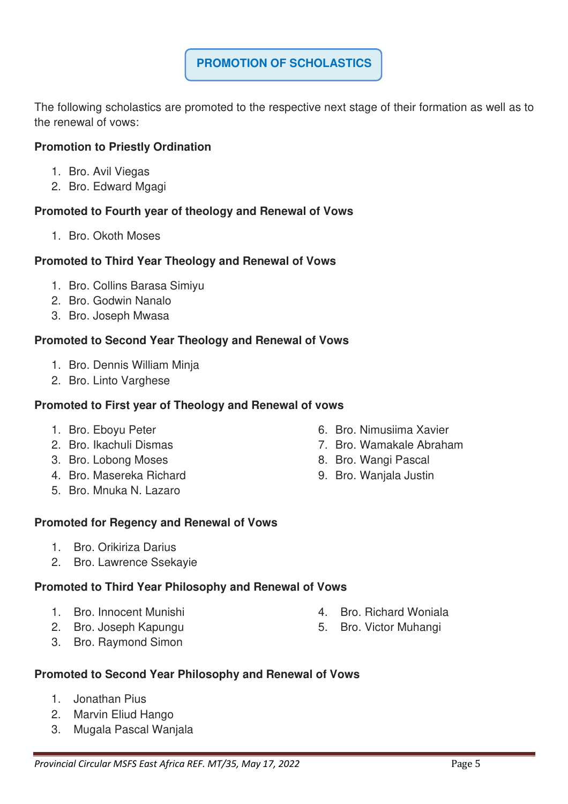**PROMOTION OF SCHOLASTICS** 

The following scholastics are promoted to the respective next stage of their formation as well as to

#### **Promotion to Priestly Ordination**

1. Bro. Avil Viegas

the renewal of vows:

2. Bro. Edward Mgagi

#### **Promoted to Fourth year of theology and Renewal of Vows**

1. Bro. Okoth Moses

#### **Promoted to Third Year Theology and Renewal of Vows**

- 1. Bro. Collins Barasa Simiyu
- 2. Bro. Godwin Nanalo
- 3. Bro. Joseph Mwasa

#### **Promoted to Second Year Theology and Renewal of Vows**

- 1. Bro. Dennis William Minja
- 2. Bro. Linto Varghese

#### **Promoted to First year of Theology and Renewal of vows**

- 1. Bro. Eboyu Peter
- 2. Bro. Ikachuli Dismas
- 3. Bro. Lobong Moses
- 4. Bro. Masereka Richard
- 5. Bro. Mnuka N. Lazaro

#### **Promoted for Regency and Renewal of Vows**

- 1. Bro. Orikiriza Darius
- 2. Bro. Lawrence Ssekayie

#### **Promoted to Third Year Philosophy and Renewal of Vows**

- 1. Bro. Innocent Munishi
- 2. Bro. Joseph Kapungu
- 3. Bro. Raymond Simon

#### **Promoted to Second Year Philosophy and Renewal of Vows**

- 1. Jonathan Pius
- 2. Marvin Eliud Hango
- 3. Mugala Pascal Wanjala
- 6. Bro. Nimusiima Xavier
- 7. Bro. Wamakale Abraham
- 8. Bro. Wangi Pascal
- 9. Bro. Wanjala Justin

- 4. Bro. Richard Woniala
- 5. Bro. Victor Muhangi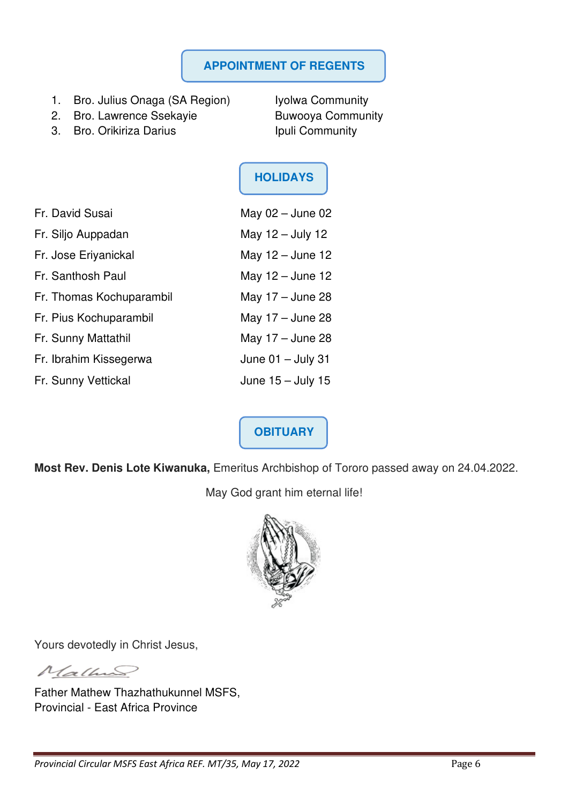# **APPOINTMENT OF REGENTS**

- 1. Bro. Julius Onaga (SA Region) lyolwa Community
- 2. Bro. Lawrence Ssekayie Buwooya Community
- 3. Bro. Orikiriza Darius **International Community**

# **HOLIDAYS**

| Fr. David Susai          | May $02 -$ June $02$ |
|--------------------------|----------------------|
| Fr. Siljo Auppadan       | May 12 - July 12     |
| Fr. Jose Eriyanickal     | May $12 -$ June 12   |
| Fr. Santhosh Paul        | May $12 -$ June 12   |
| Fr. Thomas Kochuparambil | May 17 - June 28     |
| Fr. Pius Kochuparambil   | May 17 - June 28     |
| Fr. Sunny Mattathil      | May $17 -$ June 28   |
| Fr. Ibrahim Kissegerwa   | June 01 - July 31    |
| Fr. Sunny Vettickal      | June $15 -$ July 15  |

**OBITUARY**

**Most Rev. Denis Lote Kiwanuka,** Emeritus Archbishop of Tororo passed away on 24.04.2022.

May God grant him eternal life!



Yours devotedly in Christ Jesus,

Mallino

Father Mathew Thazhathukunnel MSFS, Provincial - East Africa Province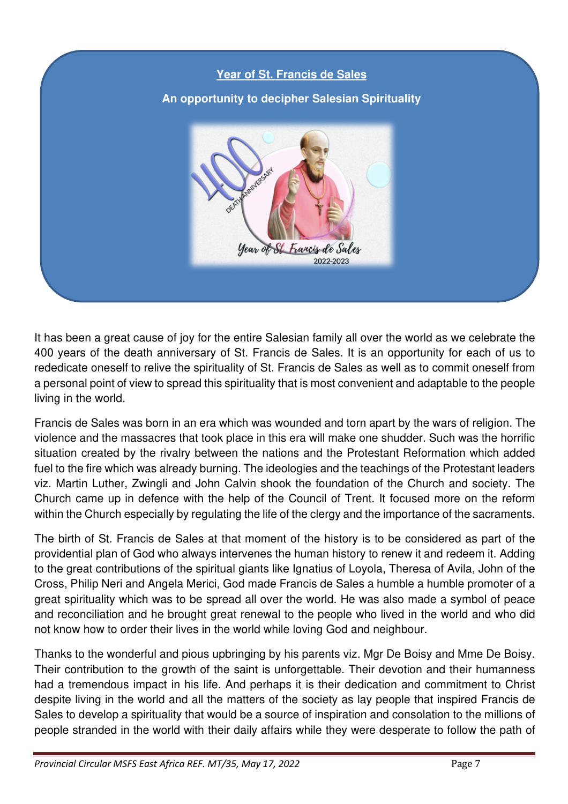

It has been a great cause of joy for the entire Salesian family all over the world as we celebrate the 400 years of the death anniversary of St. Francis de Sales. It is an opportunity for each of us to rededicate oneself to relive the spirituality of St. Francis de Sales as well as to commit oneself from a personal point of view to spread this spirituality that is most convenient and adaptable to the people living in the world.

Francis de Sales was born in an era which was wounded and torn apart by the wars of religion. The violence and the massacres that took place in this era will make one shudder. Such was the horrific situation created by the rivalry between the nations and the Protestant Reformation which added fuel to the fire which was already burning. The ideologies and the teachings of the Protestant leaders viz. Martin Luther, Zwingli and John Calvin shook the foundation of the Church and society. The Church came up in defence with the help of the Council of Trent. It focused more on the reform within the Church especially by regulating the life of the clergy and the importance of the sacraments.

The birth of St. Francis de Sales at that moment of the history is to be considered as part of the providential plan of God who always intervenes the human history to renew it and redeem it. Adding to the great contributions of the spiritual giants like Ignatius of Loyola, Theresa of Avila, John of the Cross, Philip Neri and Angela Merici, God made Francis de Sales a humble a humble promoter of a great spirituality which was to be spread all over the world. He was also made a symbol of peace and reconciliation and he brought great renewal to the people who lived in the world and who did not know how to order their lives in the world while loving God and neighbour.

Thanks to the wonderful and pious upbringing by his parents viz. Mgr De Boisy and Mme De Boisy. Their contribution to the growth of the saint is unforgettable. Their devotion and their humanness had a tremendous impact in his life. And perhaps it is their dedication and commitment to Christ despite living in the world and all the matters of the society as lay people that inspired Francis de Sales to develop a spirituality that would be a source of inspiration and consolation to the millions of people stranded in the world with their daily affairs while they were desperate to follow the path of